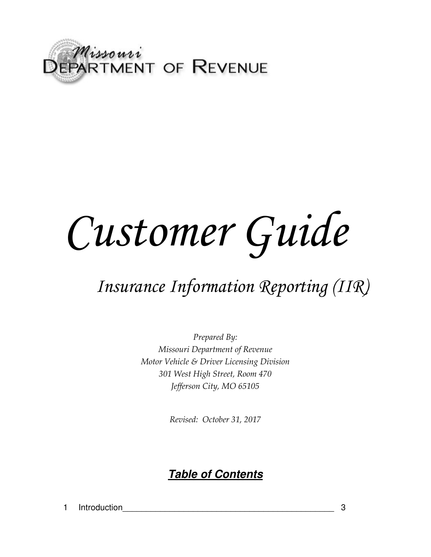

# *Customer Guide*

# *Insurance Information Reporting (IIR)*

*Prepared By: Missouri Department of Revenue Motor Vehicle & Driver Licensing Division 301 West High Street, Room 470 Jefferson City, MO 65105* 

*Revised: October 31, 2017* 

# *Table of Contents*

1 Introduction 2 and 3 and 3 and 3 and 3 and 3 and 3 and 3 and 3 and 3 and 3 and 3 and 3 and 3 and 3 and 3 and 3 and 3 and 3 and 3 and 3 and 3 and 3 and 3 and 3 and 3 and 3 and 3 and 3 and 3 and 3 and 3 and 3 and 3 and 3 a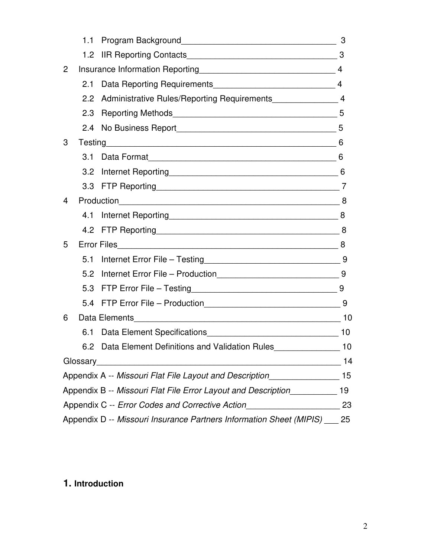|                                                       | 1.1                                                                 |                                                                     | 3              |  |  |  |  |
|-------------------------------------------------------|---------------------------------------------------------------------|---------------------------------------------------------------------|----------------|--|--|--|--|
|                                                       | 1.2 <sub>1</sub>                                                    |                                                                     |                |  |  |  |  |
| $\overline{2}$                                        |                                                                     | Insurance Information Reporting 14 Manuseum 14                      |                |  |  |  |  |
|                                                       | 2.1                                                                 |                                                                     | $\overline{4}$ |  |  |  |  |
|                                                       | 2.2                                                                 |                                                                     |                |  |  |  |  |
|                                                       | 2.3                                                                 |                                                                     |                |  |  |  |  |
|                                                       | 2.4                                                                 |                                                                     |                |  |  |  |  |
| 3                                                     |                                                                     |                                                                     | 6              |  |  |  |  |
|                                                       | 3.1                                                                 |                                                                     |                |  |  |  |  |
|                                                       | 3.2                                                                 |                                                                     |                |  |  |  |  |
|                                                       |                                                                     |                                                                     |                |  |  |  |  |
| 4                                                     |                                                                     |                                                                     |                |  |  |  |  |
|                                                       | 4.1                                                                 |                                                                     |                |  |  |  |  |
|                                                       |                                                                     | 4.2 FTP Reporting 8                                                 |                |  |  |  |  |
| 5                                                     |                                                                     | <b>Error Files</b>                                                  |                |  |  |  |  |
|                                                       | 5.1                                                                 |                                                                     |                |  |  |  |  |
|                                                       | 5.2                                                                 |                                                                     |                |  |  |  |  |
|                                                       | 5.3                                                                 |                                                                     |                |  |  |  |  |
|                                                       | 5.4                                                                 |                                                                     | 9              |  |  |  |  |
| 6                                                     |                                                                     |                                                                     |                |  |  |  |  |
|                                                       | 6.1                                                                 |                                                                     | 10             |  |  |  |  |
|                                                       |                                                                     | 6.2 Data Element Definitions and Validation Rules<br>$\sim$ 10      |                |  |  |  |  |
|                                                       | Glossary                                                            | <u> 1980 - Jan Samuel Barbara, martin da shekara 1980 - A</u>       | 14             |  |  |  |  |
|                                                       |                                                                     | Appendix A -- Missouri Flat File Layout and Description             | 15             |  |  |  |  |
|                                                       | 19<br>Appendix B -- Missouri Flat File Error Layout and Description |                                                                     |                |  |  |  |  |
| Appendix C -- Error Codes and Corrective Action<br>23 |                                                                     |                                                                     |                |  |  |  |  |
|                                                       |                                                                     | Appendix D -- Missouri Insurance Partners Information Sheet (MIPIS) | 25             |  |  |  |  |

# **1. Introduction**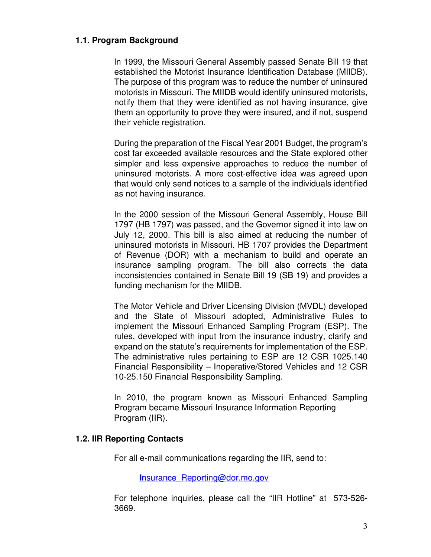### **1.1. Program Background**

In 1999, the Missouri General Assembly passed Senate Bill 19 that established the Motorist Insurance Identification Database (MIIDB). The purpose of this program was to reduce the number of uninsured motorists in Missouri. The MIIDB would identify uninsured motorists, notify them that they were identified as not having insurance, give them an opportunity to prove they were insured, and if not, suspend their vehicle registration.

During the preparation of the Fiscal Year 2001 Budget, the program's cost far exceeded available resources and the State explored other simpler and less expensive approaches to reduce the number of uninsured motorists. A more cost-effective idea was agreed upon that would only send notices to a sample of the individuals identified as not having insurance.

In the 2000 session of the Missouri General Assembly, House Bill 1797 (HB 1797) was passed, and the Governor signed it into law on July 12, 2000. This bill is also aimed at reducing the number of uninsured motorists in Missouri. HB 1707 provides the Department of Revenue (DOR) with a mechanism to build and operate an insurance sampling program. The bill also corrects the data inconsistencies contained in Senate Bill 19 (SB 19) and provides a funding mechanism for the MIIDB.

The Motor Vehicle and Driver Licensing Division (MVDL) developed and the State of Missouri adopted, Administrative Rules to implement the Missouri Enhanced Sampling Program (ESP). The rules, developed with input from the insurance industry, clarify and expand on the statute's requirements for implementation of the ESP. The administrative rules pertaining to ESP are 12 CSR 1025.140 Financial Responsibility – Inoperative/Stored Vehicles and 12 CSR 10-25.150 Financial Responsibility Sampling.

In 2010, the program known as Missouri Enhanced Sampling Program became Missouri Insurance Information Reporting Program (IIR).

### **1.2. IIR Reporting Contacts**

For all e-mail communications regarding the IIR, send to:

Insurance\_Reporting@dor.mo.gov

For telephone inquiries, please call the "IIR Hotline" at 573-526- 3669.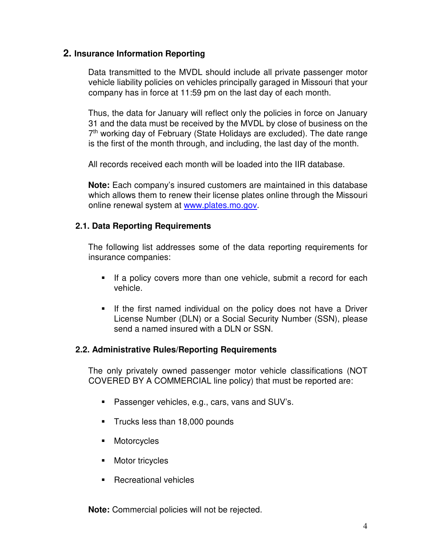# **2. Insurance Information Reporting**

Data transmitted to the MVDL should include all private passenger motor vehicle liability policies on vehicles principally garaged in Missouri that your company has in force at 11:59 pm on the last day of each month.

Thus, the data for January will reflect only the policies in force on January 31 and the data must be received by the MVDL by close of business on the 7<sup>th</sup> working day of February (State Holidays are excluded). The date range is the first of the month through, and including, the last day of the month.

All records received each month will be loaded into the IIR database.

**Note:** Each company's insured customers are maintained in this database which allows them to renew their license plates online through the Missouri online renewal system at www.plates.mo.gov.

# **2.1. Data Reporting Requirements**

The following list addresses some of the data reporting requirements for insurance companies:

- If a policy covers more than one vehicle, submit a record for each vehicle.
- **If the first named individual on the policy does not have a Driver** License Number (DLN) or a Social Security Number (SSN), please send a named insured with a DLN or SSN.

### **2.2. Administrative Rules/Reporting Requirements**

The only privately owned passenger motor vehicle classifications (NOT COVERED BY A COMMERCIAL line policy) that must be reported are:

- **Passenger vehicles, e.g., cars, vans and SUV's.**
- Trucks less than 18,000 pounds
- **Motorcycles**
- **Motor tricycles**
- Recreational vehicles

**Note:** Commercial policies will not be rejected.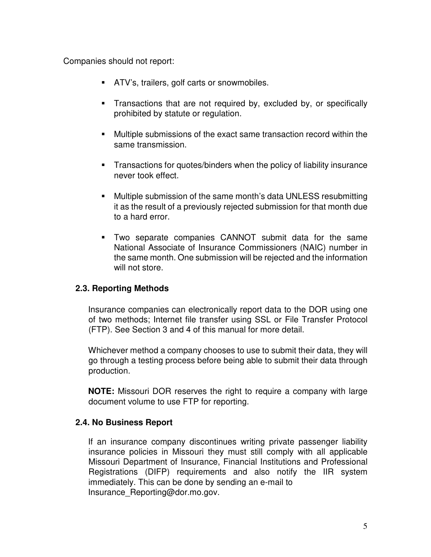Companies should not report:

- **ATV's, trailers, golf carts or snowmobiles.**
- **Transactions that are not required by, excluded by, or specifically** prohibited by statute or regulation.
- Multiple submissions of the exact same transaction record within the same transmission.
- Transactions for quotes/binders when the policy of liability insurance never took effect.
- Multiple submission of the same month's data UNLESS resubmitting it as the result of a previously rejected submission for that month due to a hard error.
- Two separate companies CANNOT submit data for the same National Associate of Insurance Commissioners (NAIC) number in the same month. One submission will be rejected and the information will not store.

# **2.3. Reporting Methods**

Insurance companies can electronically report data to the DOR using one of two methods; Internet file transfer using SSL or File Transfer Protocol (FTP). See Section 3 and 4 of this manual for more detail.

Whichever method a company chooses to use to submit their data, they will go through a testing process before being able to submit their data through production.

**NOTE:** Missouri DOR reserves the right to require a company with large document volume to use FTP for reporting.

# **2.4. No Business Report**

If an insurance company discontinues writing private passenger liability insurance policies in Missouri they must still comply with all applicable Missouri Department of Insurance, Financial Institutions and Professional Registrations (DIFP) requirements and also notify the IIR system immediately. This can be done by sending an e-mail to Insurance\_Reporting@dor.mo.gov.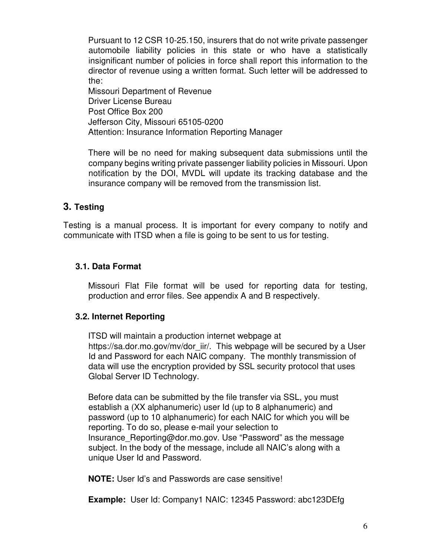Pursuant to 12 CSR 10-25.150, insurers that do not write private passenger automobile liability policies in this state or who have a statistically insignificant number of policies in force shall report this information to the director of revenue using a written format. Such letter will be addressed to the:

Missouri Department of Revenue Driver License Bureau Post Office Box 200 Jefferson City, Missouri 65105-0200 Attention: Insurance Information Reporting Manager

There will be no need for making subsequent data submissions until the company begins writing private passenger liability policies in Missouri. Upon notification by the DOI, MVDL will update its tracking database and the insurance company will be removed from the transmission list.

# **3. Testing**

Testing is a manual process. It is important for every company to notify and communicate with ITSD when a file is going to be sent to us for testing.

# **3.1. Data Format**

Missouri Flat File format will be used for reporting data for testing, production and error files. See appendix A and B respectively.

# **3.2. Internet Reporting**

ITSD will maintain a production internet webpage at https://sa.dor.mo.gov/mv/dor\_iir/. This webpage will be secured by a User Id and Password for each NAIC company. The monthly transmission of data will use the encryption provided by SSL security protocol that uses Global Server ID Technology.

Before data can be submitted by the file transfer via SSL, you must establish a (XX alphanumeric) user Id (up to 8 alphanumeric) and password (up to 10 alphanumeric) for each NAIC for which you will be reporting. To do so, please e-mail your selection to Insurance Reporting@dor.mo.gov. Use "Password" as the message subject. In the body of the message, include all NAIC's along with a unique User Id and Password.

**NOTE:** User Id's and Passwords are case sensitive!

**Example:** User Id: Company1 NAIC: 12345 Password: abc123DEfg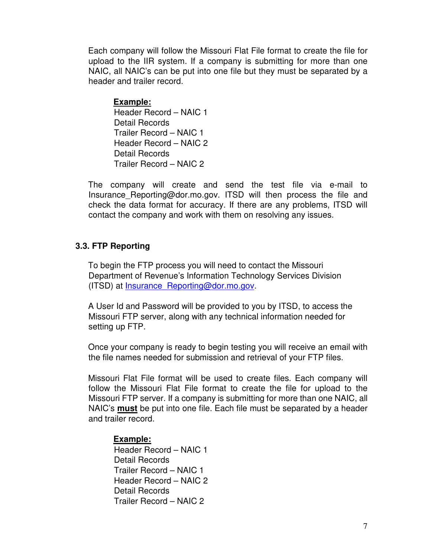Each company will follow the Missouri Flat File format to create the file for upload to the IIR system. If a company is submitting for more than one NAIC, all NAIC's can be put into one file but they must be separated by a header and trailer record.

### **Example:**

Header Record – NAIC 1 Detail Records Trailer Record – NAIC 1 Header Record – NAIC 2 Detail Records Trailer Record – NAIC 2

The company will create and send the test file via e-mail to Insurance\_Reporting@dor.mo.gov. ITSD will then process the file and check the data format for accuracy. If there are any problems, ITSD will contact the company and work with them on resolving any issues.

### **3.3. FTP Reporting**

To begin the FTP process you will need to contact the Missouri Department of Revenue's Information Technology Services Division (ITSD) at **Insurance** Reporting@dor.mo.gov.

A User Id and Password will be provided to you by ITSD, to access the Missouri FTP server, along with any technical information needed for setting up FTP.

Once your company is ready to begin testing you will receive an email with the file names needed for submission and retrieval of your FTP files.

Missouri Flat File format will be used to create files. Each company will follow the Missouri Flat File format to create the file for upload to the Missouri FTP server. If a company is submitting for more than one NAIC, all NAIC's **must** be put into one file. Each file must be separated by a header and trailer record.

### **Example:**

Header Record – NAIC 1 Detail Records Trailer Record – NAIC 1 Header Record – NAIC 2 Detail Records Trailer Record – NAIC 2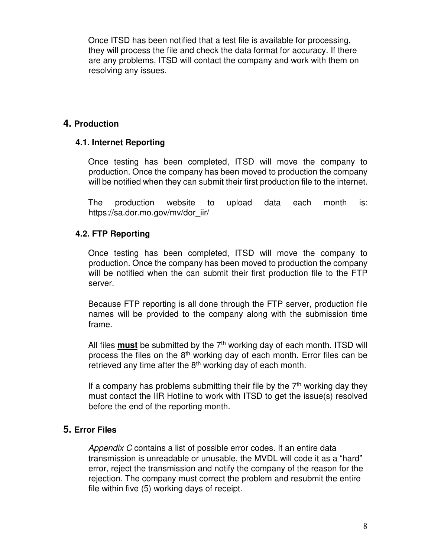Once ITSD has been notified that a test file is available for processing, they will process the file and check the data format for accuracy. If there are any problems, ITSD will contact the company and work with them on resolving any issues.

# **4. Production**

# **4.1. Internet Reporting**

Once testing has been completed, ITSD will move the company to production. Once the company has been moved to production the company will be notified when they can submit their first production file to the internet.

The production website to upload data each month is: https://sa.dor.mo.gov/mv/dor\_iir/

# **4.2. FTP Reporting**

Once testing has been completed, ITSD will move the company to production. Once the company has been moved to production the company will be notified when the can submit their first production file to the FTP server.

Because FTP reporting is all done through the FTP server, production file names will be provided to the company along with the submission time frame.

All files **must** be submitted by the 7<sup>th</sup> working day of each month. ITSD will process the files on the  $8<sup>th</sup>$  working day of each month. Error files can be retrieved any time after the  $8<sup>th</sup>$  working day of each month.

If a company has problems submitting their file by the  $7<sup>th</sup>$  working day they must contact the IIR Hotline to work with ITSD to get the issue(s) resolved before the end of the reporting month.

# **5. Error Files**

Appendix C contains a list of possible error codes. If an entire data transmission is unreadable or unusable, the MVDL will code it as a "hard" error, reject the transmission and notify the company of the reason for the rejection. The company must correct the problem and resubmit the entire file within five (5) working days of receipt.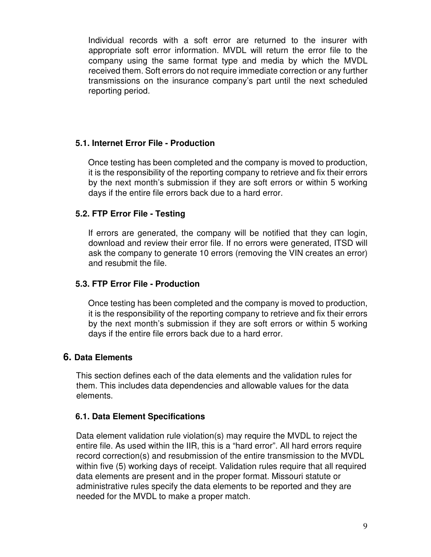Individual records with a soft error are returned to the insurer with appropriate soft error information. MVDL will return the error file to the company using the same format type and media by which the MVDL received them. Soft errors do not require immediate correction or any further transmissions on the insurance company's part until the next scheduled reporting period.

# **5.1. Internet Error File - Production**

Once testing has been completed and the company is moved to production, it is the responsibility of the reporting company to retrieve and fix their errors by the next month's submission if they are soft errors or within 5 working days if the entire file errors back due to a hard error.

# **5.2. FTP Error File - Testing**

If errors are generated, the company will be notified that they can login, download and review their error file. If no errors were generated, ITSD will ask the company to generate 10 errors (removing the VIN creates an error) and resubmit the file.

# **5.3. FTP Error File - Production**

Once testing has been completed and the company is moved to production, it is the responsibility of the reporting company to retrieve and fix their errors by the next month's submission if they are soft errors or within 5 working days if the entire file errors back due to a hard error.

# **6. Data Elements**

This section defines each of the data elements and the validation rules for them. This includes data dependencies and allowable values for the data elements.

# **6.1. Data Element Specifications**

Data element validation rule violation(s) may require the MVDL to reject the entire file. As used within the IIR, this is a "hard error". All hard errors require record correction(s) and resubmission of the entire transmission to the MVDL within five (5) working days of receipt. Validation rules require that all required data elements are present and in the proper format. Missouri statute or administrative rules specify the data elements to be reported and they are needed for the MVDL to make a proper match.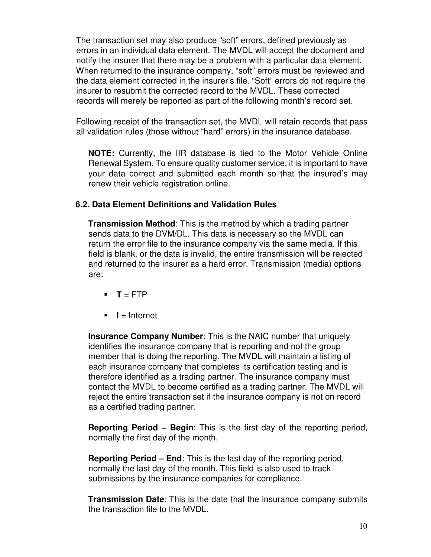The transaction set may also produce "soft" errors, defined previously as errors in an individual data element. The MVDL will accept the document and notify the insurer that there may be a problem with a particular data element. When returned to the insurance company, "soft" errors must be reviewed and the data element corrected in the insurer's file. "Soft" errors do not require the insurer to resubmit the corrected record to the MVDL. These corrected records will merely be reported as part of the following month's record set.

Following receipt of the transaction set, the MVDL will retain records that pass all validation rules (those without "hard" errors) in the insurance database.

**NOTE:** Currently, the IIR database is tied to the Motor Vehicle Online Renewal System. To ensure quality customer service, it is important to have your data correct and submitted each month so that the insured's may renew their vehicle registration online.

### **6.2. Data Element Definitions and Validation Rules**

**Transmission Method**: This is the method by which a trading partner sends data to the DVM/DL. This data is necessary so the MVDL can return the error file to the insurance company via the same media. If this field is blank, or the data is invalid, the entire transmission will be rejected and returned to the insurer as a hard error. Transmission (media) options are:

- $\blacksquare$  **T** = FTP
- $\blacksquare$  **I** = Internet

**Insurance Company Number**: This is the NAIC number that uniquely identifies the insurance company that is reporting and not the group member that is doing the reporting. The MVDL will maintain a listing of each insurance company that completes its certification testing and is therefore identified as a trading partner. The insurance company must contact the MVDL to become certified as a trading partner. The MVDL will reject the entire transaction set if the insurance company is not on record as a certified trading partner.

**Reporting Period – Begin**: This is the first day of the reporting period, normally the first day of the month.

**Reporting Period – End**: This is the last day of the reporting period, normally the last day of the month. This field is also used to track submissions by the insurance companies for compliance.

**Transmission Date**: This is the date that the insurance company submits the transaction file to the MVDL.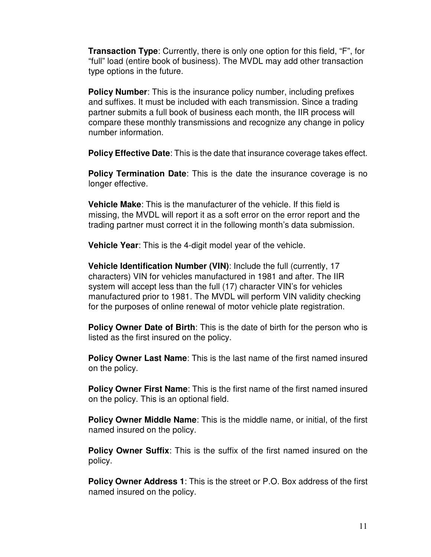**Transaction Type**: Currently, there is only one option for this field, "F", for "full" load (entire book of business). The MVDL may add other transaction type options in the future.

**Policy Number**: This is the insurance policy number, including prefixes and suffixes. It must be included with each transmission. Since a trading partner submits a full book of business each month, the IIR process will compare these monthly transmissions and recognize any change in policy number information.

**Policy Effective Date**: This is the date that insurance coverage takes effect.

**Policy Termination Date:** This is the date the insurance coverage is no longer effective.

**Vehicle Make**: This is the manufacturer of the vehicle. If this field is missing, the MVDL will report it as a soft error on the error report and the trading partner must correct it in the following month's data submission.

**Vehicle Year**: This is the 4-digit model year of the vehicle.

**Vehicle Identification Number (VIN)**: Include the full (currently, 17 characters) VIN for vehicles manufactured in 1981 and after. The IIR system will accept less than the full (17) character VIN's for vehicles manufactured prior to 1981. The MVDL will perform VIN validity checking for the purposes of online renewal of motor vehicle plate registration.

**Policy Owner Date of Birth:** This is the date of birth for the person who is listed as the first insured on the policy.

**Policy Owner Last Name**: This is the last name of the first named insured on the policy.

**Policy Owner First Name**: This is the first name of the first named insured on the policy. This is an optional field.

**Policy Owner Middle Name**: This is the middle name, or initial, of the first named insured on the policy.

**Policy Owner Suffix:** This is the suffix of the first named insured on the policy.

**Policy Owner Address 1**: This is the street or P.O. Box address of the first named insured on the policy.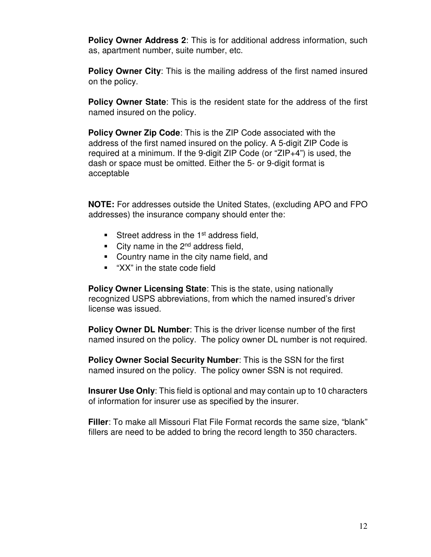**Policy Owner Address 2**: This is for additional address information, such as, apartment number, suite number, etc.

**Policy Owner City**: This is the mailing address of the first named insured on the policy.

**Policy Owner State**: This is the resident state for the address of the first named insured on the policy.

**Policy Owner Zip Code**: This is the ZIP Code associated with the address of the first named insured on the policy. A 5-digit ZIP Code is required at a minimum. If the 9-digit ZIP Code (or "ZIP+4") is used, the dash or space must be omitted. Either the 5- or 9-digit format is acceptable

**NOTE:** For addresses outside the United States, (excluding APO and FPO addresses) the insurance company should enter the:

- Street address in the  $1<sup>st</sup>$  address field,
- City name in the  $2^{nd}$  address field,
- Country name in the city name field, and
- **"** "XX" in the state code field

**Policy Owner Licensing State**: This is the state, using nationally recognized USPS abbreviations, from which the named insured's driver license was issued.

**Policy Owner DL Number:** This is the driver license number of the first named insured on the policy. The policy owner DL number is not required.

**Policy Owner Social Security Number**: This is the SSN for the first named insured on the policy. The policy owner SSN is not required.

**Insurer Use Only**: This field is optional and may contain up to 10 characters of information for insurer use as specified by the insurer.

**Filler**: To make all Missouri Flat File Format records the same size, "blank" fillers are need to be added to bring the record length to 350 characters.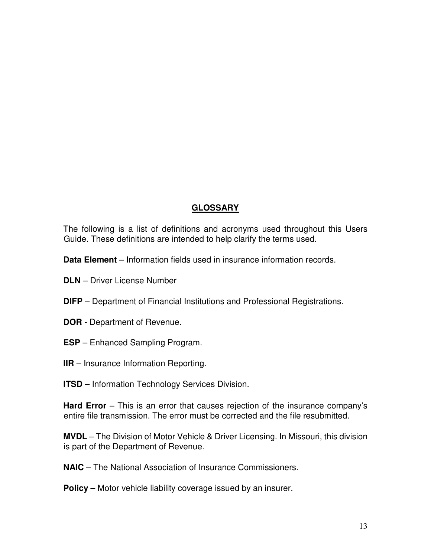# **GLOSSARY**

The following is a list of definitions and acronyms used throughout this Users Guide. These definitions are intended to help clarify the terms used.

**Data Element** – Information fields used in insurance information records.

- **DLN** Driver License Number
- **DIFP**  Department of Financial Institutions and Professional Registrations.
- **DOR** Department of Revenue.
- **ESP** Enhanced Sampling Program.
- **IIR** Insurance Information Reporting.
- **ITSD** Information Technology Services Division.

**Hard Error** – This is an error that causes rejection of the insurance company's entire file transmission. The error must be corrected and the file resubmitted.

**MVDL** – The Division of Motor Vehicle & Driver Licensing. In Missouri, this division is part of the Department of Revenue.

**NAIC** – The National Association of Insurance Commissioners.

**Policy** – Motor vehicle liability coverage issued by an insurer.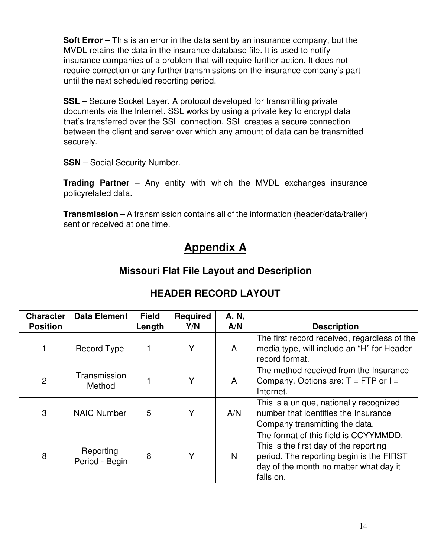**Soft Error** – This is an error in the data sent by an insurance company, but the MVDL retains the data in the insurance database file. It is used to notify insurance companies of a problem that will require further action. It does not require correction or any further transmissions on the insurance company's part until the next scheduled reporting period.

**SSL** – Secure Socket Layer. A protocol developed for transmitting private documents via the Internet. SSL works by using a private key to encrypt data that's transferred over the SSL connection. SSL creates a secure connection between the client and server over which any amount of data can be transmitted securely.

**SSN** – Social Security Number.

**Trading Partner** – Any entity with which the MVDL exchanges insurance policyrelated data.

**Transmission** – A transmission contains all of the information (header/data/trailer) sent or received at one time.

# **Appendix A**

# **Missouri Flat File Layout and Description**

| <b>Character</b><br><b>Position</b> | Data Element                | <b>Field</b><br>Length | <b>Required</b><br>Y/N | A, N,<br>A/N | <b>Description</b>                                                                                                                                                                 |
|-------------------------------------|-----------------------------|------------------------|------------------------|--------------|------------------------------------------------------------------------------------------------------------------------------------------------------------------------------------|
|                                     | Record Type                 |                        | Y                      | A            | The first record received, regardless of the<br>media type, will include an "H" for Header<br>record format.                                                                       |
| $\overline{2}$                      | Transmission<br>Method      |                        | Y                      | A            | The method received from the Insurance<br>Company. Options are: $T = FTP$ or $I =$<br>Internet.                                                                                    |
| 3                                   | <b>NAIC Number</b>          | 5                      | Y                      | A/N          | This is a unique, nationally recognized<br>number that identifies the Insurance<br>Company transmitting the data.                                                                  |
| 8                                   | Reporting<br>Period - Begin | 8                      | Y                      | N            | The format of this field is CCYYMMDD.<br>This is the first day of the reporting<br>period. The reporting begin is the FIRST<br>day of the month no matter what day it<br>falls on. |

# **HEADER RECORD LAYOUT**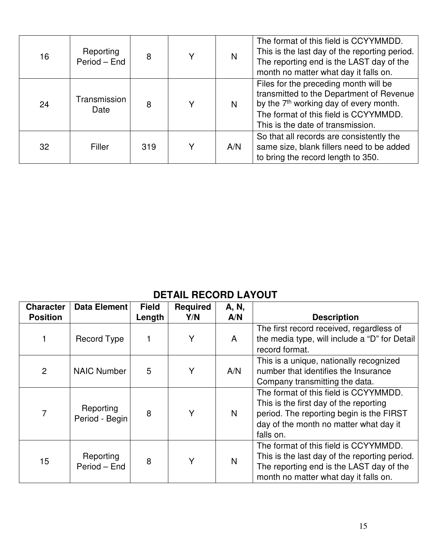| 16 | Reporting<br>Period - End | 8   | V | N   | The format of this field is CCYYMMDD.<br>This is the last day of the reporting period.<br>The reporting end is the LAST day of the<br>month no matter what day it falls on.                                           |
|----|---------------------------|-----|---|-----|-----------------------------------------------------------------------------------------------------------------------------------------------------------------------------------------------------------------------|
| 24 | Transmission<br>Date      | 8   | v | N   | Files for the preceding month will be<br>transmitted to the Department of Revenue<br>by the 7 <sup>th</sup> working day of every month.<br>The format of this field is CCYYMMDD.<br>This is the date of transmission. |
| 32 | Filler                    | 319 | v | A/N | So that all records are consistently the<br>same size, blank fillers need to be added<br>to bring the record length to 350.                                                                                           |

# **DETAIL RECORD LAYOUT**

| <b>Character</b><br><b>Position</b> | <b>Data Element</b>         | <b>Field</b><br>Length | Required<br>Y/N | A, N,<br>A/N | <b>Description</b>                                                                                                                                                                 |
|-------------------------------------|-----------------------------|------------------------|-----------------|--------------|------------------------------------------------------------------------------------------------------------------------------------------------------------------------------------|
|                                     | <b>Record Type</b>          |                        | Y               | A            | The first record received, regardless of<br>the media type, will include a "D" for Detail<br>record format.                                                                        |
| $\overline{2}$                      | <b>NAIC Number</b>          | 5                      | Y               | A/N          | This is a unique, nationally recognized<br>number that identifies the Insurance<br>Company transmitting the data.                                                                  |
| 7                                   | Reporting<br>Period - Begin | 8                      | Y               | N            | The format of this field is CCYYMMDD.<br>This is the first day of the reporting<br>period. The reporting begin is the FIRST<br>day of the month no matter what day it<br>falls on. |
| 15                                  | Reporting<br>Period - End   | 8                      | Y               | N            | The format of this field is CCYYMMDD.<br>This is the last day of the reporting period.<br>The reporting end is the LAST day of the<br>month no matter what day it falls on.        |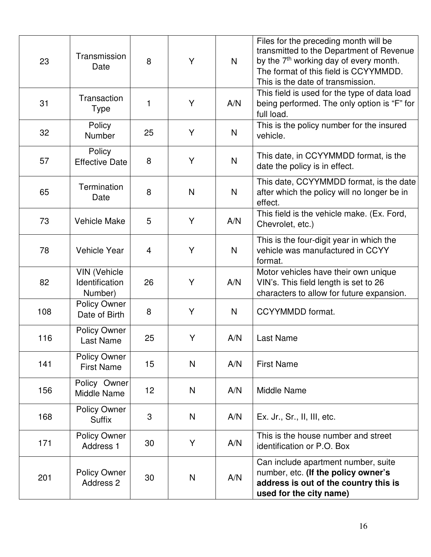| 23  | Transmission<br>Date                             | 8  | Y            | N            | Files for the preceding month will be<br>transmitted to the Department of Revenue<br>by the 7 <sup>th</sup> working day of every month.<br>The format of this field is CCYYMMDD.<br>This is the date of transmission. |
|-----|--------------------------------------------------|----|--------------|--------------|-----------------------------------------------------------------------------------------------------------------------------------------------------------------------------------------------------------------------|
| 31  | Transaction<br><b>Type</b>                       | 1  | Υ            | A/N          | This field is used for the type of data load<br>being performed. The only option is "F" for<br>full load.                                                                                                             |
| 32  | Policy<br><b>Number</b>                          | 25 | Y            | N            | This is the policy number for the insured<br>vehicle.                                                                                                                                                                 |
| 57  | Policy<br><b>Effective Date</b>                  | 8  | Y            | $\mathsf{N}$ | This date, in CCYYMMDD format, is the<br>date the policy is in effect.                                                                                                                                                |
| 65  | Termination<br>Date                              | 8  | N            | $\mathsf{N}$ | This date, CCYYMMDD format, is the date<br>after which the policy will no longer be in<br>effect.                                                                                                                     |
| 73  | <b>Vehicle Make</b>                              | 5  | Y            | A/N          | This field is the vehicle make. (Ex. Ford,<br>Chevrolet, etc.)                                                                                                                                                        |
| 78  | <b>Vehicle Year</b>                              | 4  | Y            | $\mathsf{N}$ | This is the four-digit year in which the<br>vehicle was manufactured in CCYY<br>format.                                                                                                                               |
| 82  | <b>VIN (Vehicle</b><br>Identification<br>Number) | 26 | Y            | A/N          | Motor vehicles have their own unique<br>VIN's. This field length is set to 26<br>characters to allow for future expansion.                                                                                            |
| 108 | <b>Policy Owner</b><br>Date of Birth             | 8  | Y            | $\mathsf{N}$ | <b>CCYYMMDD</b> format.                                                                                                                                                                                               |
| 116 | <b>Policy Owner</b><br>Last Name                 | 25 | Y            | A/N          | <b>Last Name</b>                                                                                                                                                                                                      |
| 141 | <b>Policy Owner</b><br><b>First Name</b>         | 15 | N            | A/N          | <b>First Name</b>                                                                                                                                                                                                     |
| 156 | Policy Owner<br>Middle Name                      | 12 | N            | A/N          | <b>Middle Name</b>                                                                                                                                                                                                    |
| 168 | <b>Policy Owner</b><br>Suffix                    | 3  | N            | A/N          | Ex. Jr., Sr., II, III, etc.                                                                                                                                                                                           |
| 171 | <b>Policy Owner</b><br>Address 1                 | 30 | Y            | A/N          | This is the house number and street<br>identification or P.O. Box                                                                                                                                                     |
| 201 | <b>Policy Owner</b><br><b>Address 2</b>          | 30 | $\mathsf{N}$ | A/N          | Can include apartment number, suite<br>number, etc. (If the policy owner's<br>address is out of the country this is<br>used for the city name)                                                                        |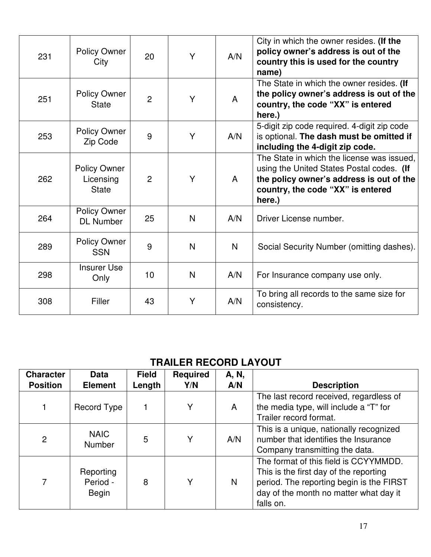| 231 | <b>Policy Owner</b><br>City                      | 20             | Y            | A/N | City in which the owner resides. (If the<br>policy owner's address is out of the<br>country this is used for the country<br>name)                                                  |
|-----|--------------------------------------------------|----------------|--------------|-----|------------------------------------------------------------------------------------------------------------------------------------------------------------------------------------|
| 251 | <b>Policy Owner</b><br><b>State</b>              | $\overline{2}$ | Y            | A   | The State in which the owner resides. (If<br>the policy owner's address is out of the<br>country, the code "XX" is entered<br>here.)                                               |
| 253 | <b>Policy Owner</b><br>Zip Code                  | 9              | Y            | A/N | 5-digit zip code required. 4-digit zip code<br>is optional. The dash must be omitted if<br>including the 4-digit zip code.                                                         |
| 262 | <b>Policy Owner</b><br>Licensing<br><b>State</b> | $\overline{2}$ | Y            | A   | The State in which the license was issued,<br>using the United States Postal codes. (If<br>the policy owner's address is out of the<br>country, the code "XX" is entered<br>here.) |
| 264 | Policy Owner<br><b>DL Number</b>                 | 25             | N            | A/N | Driver License number.                                                                                                                                                             |
| 289 | <b>Policy Owner</b><br><b>SSN</b>                | 9              | N            | N   | Social Security Number (omitting dashes).                                                                                                                                          |
| 298 | <b>Insurer Use</b><br>Only                       | 10             | $\mathsf{N}$ | A/N | For Insurance company use only.                                                                                                                                                    |
| 308 | Filler                                           | 43             | Y            | A/N | To bring all records to the same size for<br>consistency.                                                                                                                          |

# **TRAILER RECORD LAYOUT**

| <b>Character</b><br><b>Position</b> | <b>Data</b><br><b>Element</b>         | <b>Field</b><br>Length | <b>Required</b><br>Y/N | A, N,<br>A/N | <b>Description</b>                                                                                                                                                                 |
|-------------------------------------|---------------------------------------|------------------------|------------------------|--------------|------------------------------------------------------------------------------------------------------------------------------------------------------------------------------------|
|                                     | Record Type                           |                        | Y                      | A            | The last record received, regardless of<br>the media type, will include a "T" for<br>Trailer record format.                                                                        |
| 2                                   | <b>NAIC</b><br><b>Number</b>          | 5                      | Y                      | A/N          | This is a unique, nationally recognized<br>number that identifies the Insurance<br>Company transmitting the data.                                                                  |
| 7                                   | Reporting<br>Period -<br><b>Begin</b> | 8                      | Y                      | N            | The format of this field is CCYYMMDD.<br>This is the first day of the reporting<br>period. The reporting begin is the FIRST<br>day of the month no matter what day it<br>falls on. |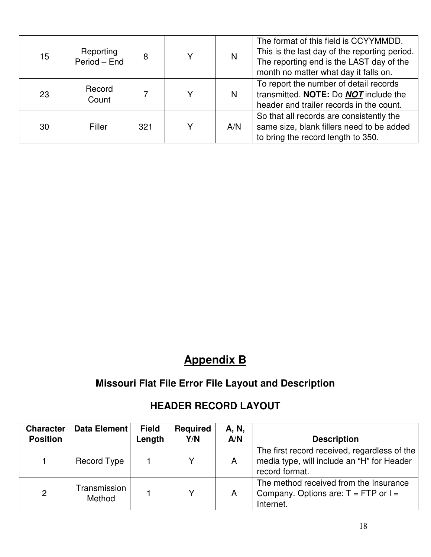| 15 | Reporting<br>Period - End | 8   | N   | The format of this field is CCYYMMDD.<br>This is the last day of the reporting period.<br>The reporting end is the LAST day of the<br>month no matter what day it falls on. |
|----|---------------------------|-----|-----|-----------------------------------------------------------------------------------------------------------------------------------------------------------------------------|
| 23 | Record<br>Count           |     | N   | To report the number of detail records<br>transmitted. NOTE: Do NOT include the<br>header and trailer records in the count.                                                 |
| 30 | Filler                    | 321 | A/N | So that all records are consistently the<br>same size, blank fillers need to be added<br>to bring the record length to 350.                                                 |

# **Appendix B**

# **Missouri Flat File Error File Layout and Description**

| <b>Character</b><br><b>Position</b> | Data Element           | <b>Field</b><br>Length | <b>Required</b><br>Y/N | A, N,<br>A/N | <b>Description</b>                                                                                           |
|-------------------------------------|------------------------|------------------------|------------------------|--------------|--------------------------------------------------------------------------------------------------------------|
|                                     | Record Type            |                        | v                      | A            | The first record received, regardless of the<br>media type, will include an "H" for Header<br>record format. |
| 2                                   | Transmission<br>Method |                        | v                      | A            | The method received from the Insurance<br>Company. Options are: $T = FTP$ or $I =$<br>Internet.              |

# **HEADER RECORD LAYOUT**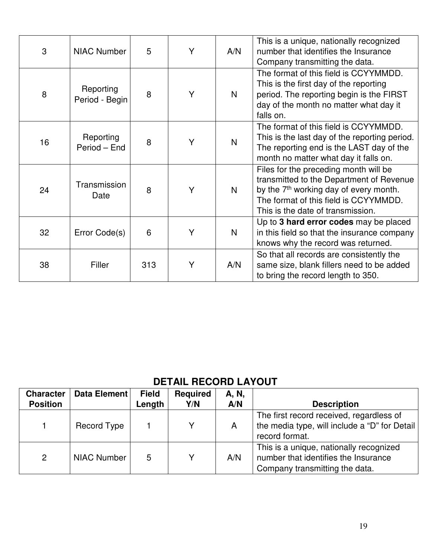| 3  | <b>NIAC Number</b>          | 5   | Y | A/N | This is a unique, nationally recognized<br>number that identifies the Insurance<br>Company transmitting the data.                                                                                                     |
|----|-----------------------------|-----|---|-----|-----------------------------------------------------------------------------------------------------------------------------------------------------------------------------------------------------------------------|
| 8  | Reporting<br>Period - Begin | 8   | Y | N   | The format of this field is CCYYMMDD.<br>This is the first day of the reporting<br>period. The reporting begin is the FIRST<br>day of the month no matter what day it<br>falls on.                                    |
| 16 | Reporting<br>Period – End   | 8   | Y | N   | The format of this field is CCYYMMDD.<br>This is the last day of the reporting period.<br>The reporting end is the LAST day of the<br>month no matter what day it falls on.                                           |
| 24 | Transmission<br>Date        | 8   | Y | N   | Files for the preceding month will be<br>transmitted to the Department of Revenue<br>by the 7 <sup>th</sup> working day of every month.<br>The format of this field is CCYYMMDD.<br>This is the date of transmission. |
| 32 | Error Code(s)               | 6   | Ý | N   | Up to 3 hard error codes may be placed<br>in this field so that the insurance company<br>knows why the record was returned.                                                                                           |
| 38 | Filler                      | 313 | Y | A/N | So that all records are consistently the<br>same size, blank fillers need to be added<br>to bring the record length to 350.                                                                                           |

# **DETAIL RECORD LAYOUT**

| <b>Character</b><br><b>Position</b> | Data Element       | <b>Field</b><br>Length | <b>Required</b><br>Y/N | A, N,<br>A/N | <b>Description</b>                                                                                                |
|-------------------------------------|--------------------|------------------------|------------------------|--------------|-------------------------------------------------------------------------------------------------------------------|
|                                     | Record Type        |                        | Y                      | A            | The first record received, regardless of<br>the media type, will include a "D" for Detail<br>record format.       |
| 2                                   | <b>NIAC Number</b> | 5                      | Y                      | A/N          | This is a unique, nationally recognized<br>number that identifies the Insurance<br>Company transmitting the data. |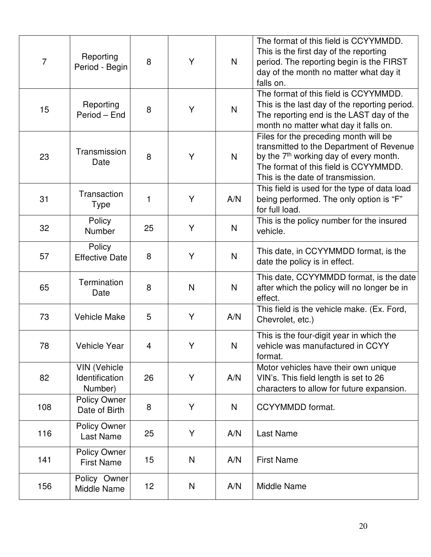| $\overline{7}$ | Reporting<br>Period - Begin               | 8  | Y | $\mathsf{N}$ | The format of this field is CCYYMMDD.<br>This is the first day of the reporting<br>period. The reporting begin is the FIRST<br>day of the month no matter what day it<br>falls on.                                    |
|----------------|-------------------------------------------|----|---|--------------|-----------------------------------------------------------------------------------------------------------------------------------------------------------------------------------------------------------------------|
| 15             | Reporting<br>Period - End                 | 8  | Y | $\mathsf{N}$ | The format of this field is CCYYMMDD.<br>This is the last day of the reporting period.<br>The reporting end is the LAST day of the<br>month no matter what day it falls on.                                           |
| 23             | Transmission<br>Date                      | 8  | Y | N            | Files for the preceding month will be<br>transmitted to the Department of Revenue<br>by the 7 <sup>th</sup> working day of every month.<br>The format of this field is CCYYMMDD.<br>This is the date of transmission. |
| 31             | Transaction<br><b>Type</b>                | 1  | Υ | A/N          | This field is used for the type of data load<br>being performed. The only option is "F"<br>for full load.                                                                                                             |
| 32             | Policy<br>Number                          | 25 | Y | N            | This is the policy number for the insured<br>vehicle.                                                                                                                                                                 |
| 57             | Policy<br><b>Effective Date</b>           | 8  | Y | $\mathsf{N}$ | This date, in CCYYMMDD format, is the<br>date the policy is in effect.                                                                                                                                                |
| 65             | Termination<br>Date                       | 8  | N | $\mathsf{N}$ | This date, CCYYMMDD format, is the date<br>after which the policy will no longer be in<br>effect.                                                                                                                     |
| 73             | <b>Vehicle Make</b>                       | 5  | Y | A/N          | This field is the vehicle make. (Ex. Ford,<br>Chevrolet, etc.)                                                                                                                                                        |
| 78             | <b>Vehicle Year</b>                       | 4  | Υ | N            | This is the four-digit year in which the<br>vehicle was manufactured in CCYY<br>format.                                                                                                                               |
| 82             | VIN (Vehicle<br>Identification<br>Number) | 26 | Υ | A/N          | Motor vehicles have their own unique<br>VIN's. This field length is set to 26<br>characters to allow for future expansion.                                                                                            |
| 108            | Policy Owner<br>Date of Birth             | 8  | Y | N            | CCYYMMDD format.                                                                                                                                                                                                      |
| 116            | <b>Policy Owner</b><br>Last Name          | 25 | Y | A/N          | Last Name                                                                                                                                                                                                             |
| 141            | <b>Policy Owner</b><br><b>First Name</b>  | 15 | N | A/N          | <b>First Name</b>                                                                                                                                                                                                     |
| 156            | Policy Owner<br>Middle Name               | 12 | N | A/N          | Middle Name                                                                                                                                                                                                           |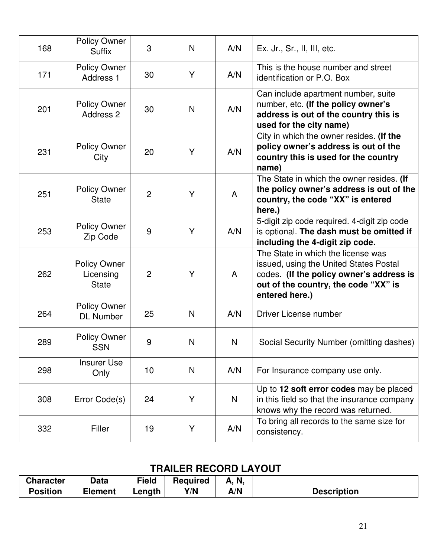| 168 | <b>Policy Owner</b><br><b>Suffix</b>             | 3              | N            | A/N | Ex. Jr., Sr., II, III, etc.                                                                                                                                                        |
|-----|--------------------------------------------------|----------------|--------------|-----|------------------------------------------------------------------------------------------------------------------------------------------------------------------------------------|
| 171 | Policy Owner<br>Address <sub>1</sub>             | 30             | Y            | A/N | This is the house number and street<br>identification or P.O. Box                                                                                                                  |
| 201 | Policy Owner<br>Address 2                        | 30             | $\mathsf{N}$ | A/N | Can include apartment number, suite<br>number, etc. (If the policy owner's<br>address is out of the country this is<br>used for the city name)                                     |
| 231 | <b>Policy Owner</b><br>City                      | 20             | Y            | A/N | City in which the owner resides. (If the<br>policy owner's address is out of the<br>country this is used for the country<br>name)                                                  |
| 251 | <b>Policy Owner</b><br><b>State</b>              | $\overline{2}$ | Y            | A   | The State in which the owner resides. (If<br>the policy owner's address is out of the<br>country, the code "XX" is entered<br>here.)                                               |
| 253 | <b>Policy Owner</b><br>Zip Code                  | 9              | Y            | A/N | 5-digit zip code required. 4-digit zip code<br>is optional. The dash must be omitted if<br>including the 4-digit zip code.                                                         |
| 262 | <b>Policy Owner</b><br>Licensing<br><b>State</b> | $\overline{2}$ | Y            | A   | The State in which the license was<br>issued, using the United States Postal<br>codes. (If the policy owner's address is<br>out of the country, the code "XX" is<br>entered here.) |
| 264 | <b>Policy Owner</b><br><b>DL Number</b>          | 25             | N            | A/N | Driver License number                                                                                                                                                              |
| 289 | <b>Policy Owner</b><br><b>SSN</b>                | 9              | $\mathsf{N}$ | N   | Social Security Number (omitting dashes)                                                                                                                                           |
| 298 | <b>Insurer Use</b><br>Only                       | 10             | N            | A/N | For Insurance company use only.                                                                                                                                                    |
| 308 | Error Code(s)                                    | 24             | Y            | N   | Up to 12 soft error codes may be placed<br>in this field so that the insurance company<br>knows why the record was returned.                                                       |
| 332 | Filler                                           | 19             | Y            | A/N | To bring all records to the same size for<br>consistency.                                                                                                                          |

# **TRAILER RECORD LAYOUT**

| <b>Character</b> | Data           | Field  | <b>Required</b> | A, N, |                    |
|------------------|----------------|--------|-----------------|-------|--------------------|
| <b>Position</b>  | <b>Element</b> | Length | Y/N             | A/N   | <b>Description</b> |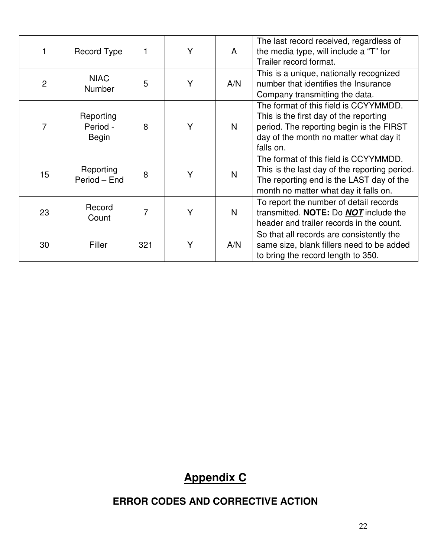| 1              | Record Type                    | 1   | Y | A   | The last record received, regardless of<br>the media type, will include a "T" for<br>Trailer record format.                                                                        |  |
|----------------|--------------------------------|-----|---|-----|------------------------------------------------------------------------------------------------------------------------------------------------------------------------------------|--|
| $\overline{2}$ | <b>NIAC</b><br>Number          | 5   | Y | A/N | This is a unique, nationally recognized<br>number that identifies the Insurance<br>Company transmitting the data.                                                                  |  |
| $\overline{7}$ | Reporting<br>Period -<br>Begin | 8   | Y | N   | The format of this field is CCYYMMDD.<br>This is the first day of the reporting<br>period. The reporting begin is the FIRST<br>day of the month no matter what day it<br>falls on. |  |
| 15             | Reporting<br>Period - End      | 8   | Y | N   | The format of this field is CCYYMMDD.<br>This is the last day of the reporting period.<br>The reporting end is the LAST day of the<br>month no matter what day it falls on.        |  |
| 23             | Record<br>Count                | 7   | Y | N   | To report the number of detail records<br>transmitted. NOTE: Do <b>NOT</b> include the<br>header and trailer records in the count.                                                 |  |
| 30             | Filler                         | 321 | Y | A/N | So that all records are consistently the<br>same size, blank fillers need to be added<br>to bring the record length to 350.                                                        |  |

# **Appendix C**

# **ERROR CODES AND CORRECTIVE ACTION**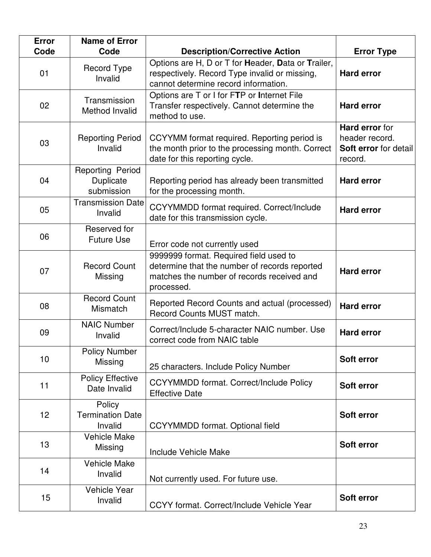| <b>Error</b><br>Code | <b>Name of Error</b><br>Code                 | <b>Description/Corrective Action</b>                                                                                                                | <b>Error Type</b>                                                    |
|----------------------|----------------------------------------------|-----------------------------------------------------------------------------------------------------------------------------------------------------|----------------------------------------------------------------------|
| 01                   | <b>Record Type</b><br>Invalid                | Options are H, D or T for Header, Data or Trailer,<br>respectively. Record Type invalid or missing,<br>cannot determine record information.         | <b>Hard error</b>                                                    |
| 02                   | Transmission<br>Method Invalid               | Options are T or I for FTP or Internet File<br>Transfer respectively. Cannot determine the<br>method to use.                                        | <b>Hard error</b>                                                    |
| 03                   | <b>Reporting Period</b><br>Invalid           | CCYYMM format required. Reporting period is<br>the month prior to the processing month. Correct<br>date for this reporting cycle.                   | Hard error for<br>header record.<br>Soft error for detail<br>record. |
| 04                   | Reporting Period<br>Duplicate<br>submission  | Reporting period has already been transmitted<br>for the processing month.                                                                          | <b>Hard error</b>                                                    |
| 05                   | <b>Transmission Date</b><br>Invalid          | CCYYMMDD format required. Correct/Include<br>date for this transmission cycle.                                                                      | <b>Hard error</b>                                                    |
| 06                   | Reserved for<br><b>Future Use</b>            | Error code not currently used                                                                                                                       |                                                                      |
| 07                   | <b>Record Count</b><br>Missing               | 9999999 format. Required field used to<br>determine that the number of records reported<br>matches the number of records received and<br>processed. | <b>Hard error</b>                                                    |
| 08                   | <b>Record Count</b><br><b>Mismatch</b>       | Reported Record Counts and actual (processed)<br>Record Counts MUST match.                                                                          | <b>Hard error</b>                                                    |
| 09                   | <b>NAIC Number</b><br>Invalid                | Correct/Include 5-character NAIC number. Use<br>correct code from NAIC table                                                                        | <b>Hard error</b>                                                    |
| 10                   | <b>Policy Number</b><br>Missing              | 25 characters. Include Policy Number                                                                                                                | Soft error                                                           |
| 11                   | <b>Policy Effective</b><br>Date Invalid      | <b>CCYYMMDD format. Correct/Include Policy</b><br><b>Effective Date</b>                                                                             | Soft error                                                           |
| 12                   | Policy<br><b>Termination Date</b><br>Invalid | <b>CCYYMMDD</b> format. Optional field                                                                                                              | Soft error                                                           |
| 13                   | <b>Vehicle Make</b><br>Missing               | Include Vehicle Make                                                                                                                                | Soft error                                                           |
| 14                   | <b>Vehicle Make</b><br>Invalid               | Not currently used. For future use.                                                                                                                 |                                                                      |
| 15                   | <b>Vehicle Year</b><br>Invalid               | CCYY format. Correct/Include Vehicle Year                                                                                                           | Soft error                                                           |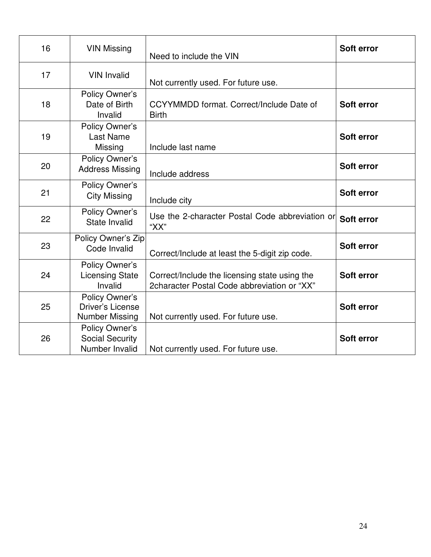| 16 | <b>VIN Missing</b>                                          | Need to include the VIN                                                                      | Soft error |
|----|-------------------------------------------------------------|----------------------------------------------------------------------------------------------|------------|
| 17 | <b>VIN Invalid</b>                                          | Not currently used. For future use.                                                          |            |
| 18 | Policy Owner's<br>Date of Birth<br>Invalid                  | CCYYMMDD format. Correct/Include Date of<br><b>Birth</b>                                     | Soft error |
| 19 | Policy Owner's<br><b>Last Name</b><br>Missing               | Include last name                                                                            | Soft error |
| 20 | Policy Owner's<br><b>Address Missing</b>                    | Include address                                                                              | Soft error |
| 21 | Policy Owner's<br><b>City Missing</b>                       | Include city                                                                                 | Soft error |
| 22 | Policy Owner's<br>State Invalid                             | Use the 2-character Postal Code abbreviation or<br>"XX"                                      | Soft error |
| 23 | Policy Owner's Zip<br>Code Invalid                          | Correct/Include at least the 5-digit zip code.                                               | Soft error |
| 24 | Policy Owner's<br><b>Licensing State</b><br>Invalid         | Correct/Include the licensing state using the<br>2character Postal Code abbreviation or "XX" | Soft error |
| 25 | Policy Owner's<br>Driver's License<br><b>Number Missing</b> | Not currently used. For future use.                                                          | Soft error |
| 26 | Policy Owner's<br><b>Social Security</b><br>Number Invalid  | Not currently used. For future use.                                                          | Soft error |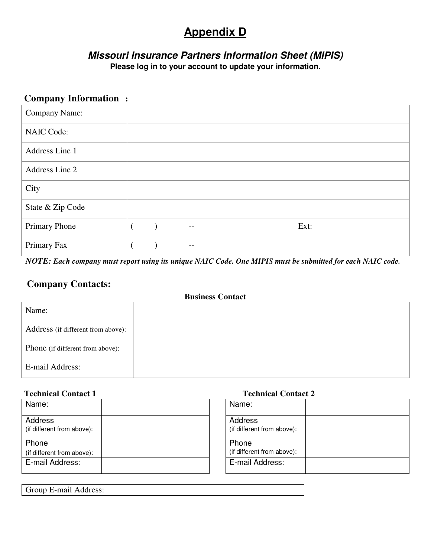# **Appendix D**

# *Missouri Insurance Partners Information Sheet (MIPIS)*  **Please log in to your account to update your information.**

# **Company Information :**

| Company Name:     |  |                   |  |      |
|-------------------|--|-------------------|--|------|
| <b>NAIC Code:</b> |  |                   |  |      |
| Address Line 1    |  |                   |  |      |
| Address Line 2    |  |                   |  |      |
| City              |  |                   |  |      |
| State & Zip Code  |  |                   |  |      |
| Primary Phone     |  | $\qquad \qquad -$ |  | Ext: |
| Primary Fax       |  | --                |  |      |

*NOTE: Each company must report using its unique NAIC Code. One MIPIS must be submitted for each NAIC code.* 

# **Company Contacts:**

# **Business Contact**  Name: Address (if different from above): Phone (if different from above): E-mail Address:

| Name:                                 |  | Name:                             |
|---------------------------------------|--|-----------------------------------|
| Address<br>(if different from above): |  | Address<br>(if different from abo |
| Phone<br>(if different from above):   |  | Phone<br>(if different from abo   |
| E-mail Address:                       |  | E-mail Address:                   |

### **Technical Contact 1** Technical Contact 2

| Name:                                 |  |
|---------------------------------------|--|
| Address<br>(if different from above): |  |
| Phone<br>(if different from above):   |  |
| E-mail Address:                       |  |

| Group E-mail Address: |  |
|-----------------------|--|
|-----------------------|--|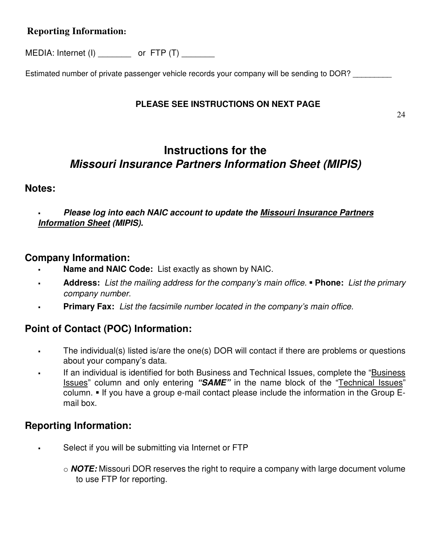# **Reporting Information:**

MEDIA: Internet (I) cor FTP (T)

Estimated number of private passenger vehicle records your company will be sending to DOR?

# **PLEASE SEE INSTRUCTIONS ON NEXT PAGE**

# **Instructions for the**  *Missouri Insurance Partners Information Sheet (MIPIS)*

# **Notes:**

# *Please log into each NAIC account to update the Missouri Insurance Partners Information Sheet (MIPIS).*

# **Company Information:**

- **Name and NAIC Code:** List exactly as shown by NAIC.
- **Address:** List the mailing address for the company's main office. **Phone:** List the primary company number.
- **Primary Fax:** List the facsimile number located in the company's main office.

# **Point of Contact (POC) Information:**

- The individual(s) listed is/are the one(s) DOR will contact if there are problems or questions about your company's data.
- If an individual is identified for both Business and Technical Issues, complete the "Business Issues" column and only entering *"SAME"* in the name block of the "Technical Issues" column.  $\blacksquare$  If you have a group e-mail contact please include the information in the Group Email box.

# **Reporting Information:**

- Select if you will be submitting via Internet or FTP
	- o *NOTE:* Missouri DOR reserves the right to require a company with large document volume to use FTP for reporting.